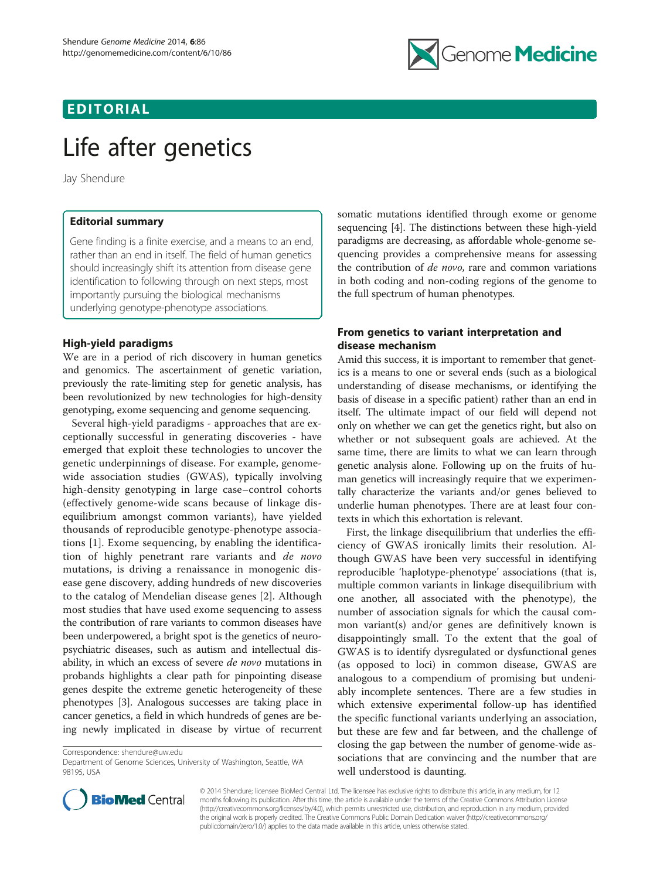# EDITORIAL



# Life after genetics

Jay Shendure

## Editorial summary

Gene finding is a finite exercise, and a means to an end, rather than an end in itself. The field of human genetics should increasingly shift its attention from disease gene identification to following through on next steps, most importantly pursuing the biological mechanisms underlying genotype-phenotype associations.

### High-yield paradigms

We are in a period of rich discovery in human genetics and genomics. The ascertainment of genetic variation, previously the rate-limiting step for genetic analysis, has been revolutionized by new technologies for high-density genotyping, exome sequencing and genome sequencing.

Several high-yield paradigms - approaches that are exceptionally successful in generating discoveries - have emerged that exploit these technologies to uncover the genetic underpinnings of disease. For example, genomewide association studies (GWAS), typically involving high-density genotyping in large case–control cohorts (effectively genome-wide scans because of linkage disequilibrium amongst common variants), have yielded thousands of reproducible genotype-phenotype associations [[1\]](#page-2-0). Exome sequencing, by enabling the identification of highly penetrant rare variants and de novo mutations, is driving a renaissance in monogenic disease gene discovery, adding hundreds of new discoveries to the catalog of Mendelian disease genes [[2\]](#page-2-0). Although most studies that have used exome sequencing to assess the contribution of rare variants to common diseases have been underpowered, a bright spot is the genetics of neuropsychiatric diseases, such as autism and intellectual disability, in which an excess of severe *de novo* mutations in probands highlights a clear path for pinpointing disease genes despite the extreme genetic heterogeneity of these phenotypes [[3](#page-2-0)]. Analogous successes are taking place in cancer genetics, a field in which hundreds of genes are being newly implicated in disease by virtue of recurrent

Correspondence: [shendure@uw.edu](mailto:shendure@uw.edu)

somatic mutations identified through exome or genome sequencing [\[4\]](#page-2-0). The distinctions between these high-yield paradigms are decreasing, as affordable whole-genome sequencing provides a comprehensive means for assessing the contribution of *de novo*, rare and common variations in both coding and non-coding regions of the genome to the full spectrum of human phenotypes.

# From genetics to variant interpretation and disease mechanism

Amid this success, it is important to remember that genetics is a means to one or several ends (such as a biological understanding of disease mechanisms, or identifying the basis of disease in a specific patient) rather than an end in itself. The ultimate impact of our field will depend not only on whether we can get the genetics right, but also on whether or not subsequent goals are achieved. At the same time, there are limits to what we can learn through genetic analysis alone. Following up on the fruits of human genetics will increasingly require that we experimentally characterize the variants and/or genes believed to underlie human phenotypes. There are at least four contexts in which this exhortation is relevant.

First, the linkage disequilibrium that underlies the efficiency of GWAS ironically limits their resolution. Although GWAS have been very successful in identifying reproducible 'haplotype-phenotype' associations (that is, multiple common variants in linkage disequilibrium with one another, all associated with the phenotype), the number of association signals for which the causal common variant(s) and/or genes are definitively known is disappointingly small. To the extent that the goal of GWAS is to identify dysregulated or dysfunctional genes (as opposed to loci) in common disease, GWAS are analogous to a compendium of promising but undeniably incomplete sentences. There are a few studies in which extensive experimental follow-up has identified the specific functional variants underlying an association, but these are few and far between, and the challenge of closing the gap between the number of genome-wide associations that are convincing and the number that are well understood is daunting.



© 2014 Shendure; licensee BioMed Central Ltd. The licensee has exclusive rights to distribute this article, in any medium, for 12 months following its publication. After this time, the article is available under the terms of the Creative Commons Attribution License [\(http://creativecommons.org/licenses/by/4.0\)](http://creativecommons.org/licenses/by/4.0), which permits unrestricted use, distribution, and reproduction in any medium, provided the original work is properly credited. The Creative Commons Public Domain Dedication waiver ([http://creativecommons.org/](http://creativecommons.org/publicdomain/zero/1.0/) [publicdomain/zero/1.0/\)](http://creativecommons.org/publicdomain/zero/1.0/) applies to the data made available in this article, unless otherwise stated.

Department of Genome Sciences, University of Washington, Seattle, WA 98195, USA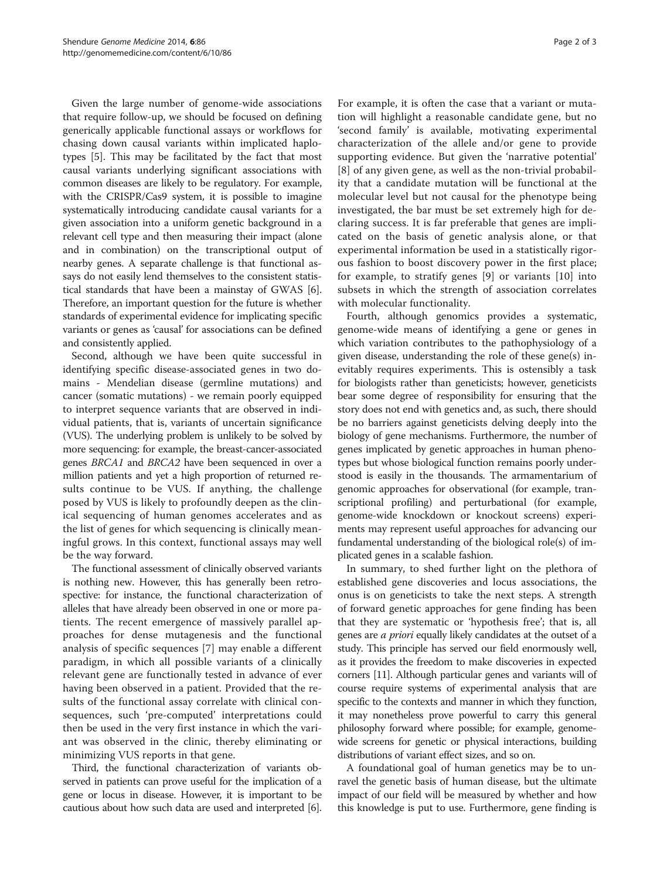Given the large number of genome-wide associations that require follow-up, we should be focused on defining generically applicable functional assays or workflows for chasing down causal variants within implicated haplotypes [[5\]](#page-2-0). This may be facilitated by the fact that most causal variants underlying significant associations with common diseases are likely to be regulatory. For example, with the CRISPR/Cas9 system, it is possible to imagine systematically introducing candidate causal variants for a given association into a uniform genetic background in a relevant cell type and then measuring their impact (alone and in combination) on the transcriptional output of nearby genes. A separate challenge is that functional assays do not easily lend themselves to the consistent statistical standards that have been a mainstay of GWAS [[6](#page-2-0)]. Therefore, an important question for the future is whether standards of experimental evidence for implicating specific variants or genes as 'causal' for associations can be defined and consistently applied.

Second, although we have been quite successful in identifying specific disease-associated genes in two domains - Mendelian disease (germline mutations) and cancer (somatic mutations) - we remain poorly equipped to interpret sequence variants that are observed in individual patients, that is, variants of uncertain significance (VUS). The underlying problem is unlikely to be solved by more sequencing: for example, the breast-cancer-associated genes BRCA1 and BRCA2 have been sequenced in over a million patients and yet a high proportion of returned results continue to be VUS. If anything, the challenge posed by VUS is likely to profoundly deepen as the clinical sequencing of human genomes accelerates and as the list of genes for which sequencing is clinically meaningful grows. In this context, functional assays may well be the way forward.

The functional assessment of clinically observed variants is nothing new. However, this has generally been retrospective: for instance, the functional characterization of alleles that have already been observed in one or more patients. The recent emergence of massively parallel approaches for dense mutagenesis and the functional analysis of specific sequences [[7\]](#page-2-0) may enable a different paradigm, in which all possible variants of a clinically relevant gene are functionally tested in advance of ever having been observed in a patient. Provided that the results of the functional assay correlate with clinical consequences, such 'pre-computed' interpretations could then be used in the very first instance in which the variant was observed in the clinic, thereby eliminating or minimizing VUS reports in that gene.

Third, the functional characterization of variants observed in patients can prove useful for the implication of a gene or locus in disease. However, it is important to be cautious about how such data are used and interpreted [[6](#page-2-0)].

For example, it is often the case that a variant or mutation will highlight a reasonable candidate gene, but no 'second family' is available, motivating experimental characterization of the allele and/or gene to provide supporting evidence. But given the 'narrative potential' [[8](#page-2-0)] of any given gene, as well as the non-trivial probability that a candidate mutation will be functional at the molecular level but not causal for the phenotype being investigated, the bar must be set extremely high for declaring success. It is far preferable that genes are implicated on the basis of genetic analysis alone, or that experimental information be used in a statistically rigorous fashion to boost discovery power in the first place; for example, to stratify genes [\[9](#page-2-0)] or variants [[10\]](#page-2-0) into subsets in which the strength of association correlates with molecular functionality.

Fourth, although genomics provides a systematic, genome-wide means of identifying a gene or genes in which variation contributes to the pathophysiology of a given disease, understanding the role of these gene(s) inevitably requires experiments. This is ostensibly a task for biologists rather than geneticists; however, geneticists bear some degree of responsibility for ensuring that the story does not end with genetics and, as such, there should be no barriers against geneticists delving deeply into the biology of gene mechanisms. Furthermore, the number of genes implicated by genetic approaches in human phenotypes but whose biological function remains poorly understood is easily in the thousands. The armamentarium of genomic approaches for observational (for example, transcriptional profiling) and perturbational (for example, genome-wide knockdown or knockout screens) experiments may represent useful approaches for advancing our fundamental understanding of the biological role(s) of implicated genes in a scalable fashion.

In summary, to shed further light on the plethora of established gene discoveries and locus associations, the onus is on geneticists to take the next steps. A strength of forward genetic approaches for gene finding has been that they are systematic or 'hypothesis free'; that is, all genes are a priori equally likely candidates at the outset of a study. This principle has served our field enormously well, as it provides the freedom to make discoveries in expected corners [\[11](#page-2-0)]. Although particular genes and variants will of course require systems of experimental analysis that are specific to the contexts and manner in which they function, it may nonetheless prove powerful to carry this general philosophy forward where possible; for example, genomewide screens for genetic or physical interactions, building distributions of variant effect sizes, and so on.

A foundational goal of human genetics may be to unravel the genetic basis of human disease, but the ultimate impact of our field will be measured by whether and how this knowledge is put to use. Furthermore, gene finding is